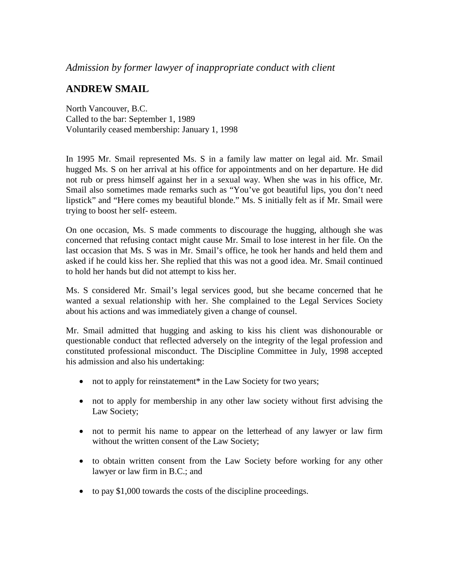## **ANDREW SMAIL**

North Vancouver, B.C. Called to the bar: September 1, 1989 Voluntarily ceased membership: January 1, 1998

In 1995 Mr. Smail represented Ms. S in a family law matter on legal aid. Mr. Smail hugged Ms. S on her arrival at his office for appointments and on her departure. He did not rub or press himself against her in a sexual way. When she was in his office, Mr. Smail also sometimes made remarks such as "You've got beautiful lips, you don't need lipstick" and "Here comes my beautiful blonde." Ms. S initially felt as if Mr. Smail were trying to boost her self- esteem.

On one occasion, Ms. S made comments to discourage the hugging, although she was concerned that refusing contact might cause Mr. Smail to lose interest in her file. On the last occasion that Ms. S was in Mr. Smail's office, he took her hands and held them and asked if he could kiss her. She replied that this was not a good idea. Mr. Smail continued to hold her hands but did not attempt to kiss her.

Ms. S considered Mr. Smail's legal services good, but she became concerned that he wanted a sexual relationship with her. She complained to the Legal Services Society about his actions and was immediately given a change of counsel.

Mr. Smail admitted that hugging and asking to kiss his client was dishonourable or questionable conduct that reflected adversely on the integrity of the legal profession and constituted professional misconduct. The Discipline Committee in July, 1998 accepted his admission and also his undertaking:

- not to apply for reinstatement<sup>\*</sup> in the Law Society for two years;
- not to apply for membership in any other law society without first advising the Law Society;
- not to permit his name to appear on the letterhead of any lawyer or law firm without the written consent of the Law Society;
- to obtain written consent from the Law Society before working for any other lawyer or law firm in B.C.; and
- to pay \$1,000 towards the costs of the discipline proceedings.